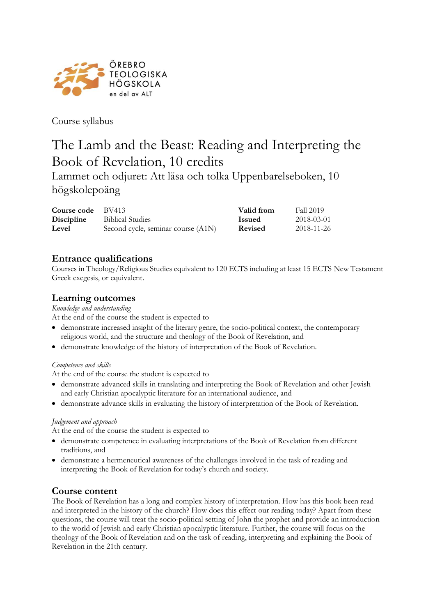

Course syllabus

# The Lamb and the Beast: Reading and Interpreting the Book of Revelation, 10 credits

Lammet och odjuret: Att läsa och tolka Uppenbarelseboken, 10 högskolepoäng

| Course code $\,$ BV413 |                                    | Valid from     | <b>Fall 2019</b> |
|------------------------|------------------------------------|----------------|------------------|
| <b>Discipline</b>      | <b>Biblical Studies</b>            | <b>Issued</b>  | 2018-03-01       |
| Level                  | Second cycle, seminar course (A1N) | <b>Revised</b> | 2018-11-26       |

# **Entrance qualifications**

Courses in Theology/Religious Studies equivalent to 120 ECTS including at least 15 ECTS New Testament Greek exegesis, or equivalent.

# **Learning outcomes**

#### *Knowledge and understanding*

At the end of the course the student is expected to

- demonstrate increased insight of the literary genre, the socio-political context, the contemporary religious world, and the structure and theology of the Book of Revelation, and
- demonstrate knowledge of the history of interpretation of the Book of Revelation.

## *Competence and skills*

At the end of the course the student is expected to

- demonstrate advanced skills in translating and interpreting the Book of Revelation and other Jewish and early Christian apocalyptic literature for an international audience, and
- demonstrate advance skills in evaluating the history of interpretation of the Book of Revelation.

## *Judgement and approach*

At the end of the course the student is expected to

- demonstrate competence in evaluating interpretations of the Book of Revelation from different traditions, and
- demonstrate a hermeneutical awareness of the challenges involved in the task of reading and interpreting the Book of Revelation for today's church and society.

## **Course content**

The Book of Revelation has a long and complex history of interpretation. How has this book been read and interpreted in the history of the church? How does this effect our reading today? Apart from these questions, the course will treat the socio-political setting of John the prophet and provide an introduction to the world of Jewish and early Christian apocalyptic literature. Further, the course will focus on the theology of the Book of Revelation and on the task of reading, interpreting and explaining the Book of Revelation in the 21th century.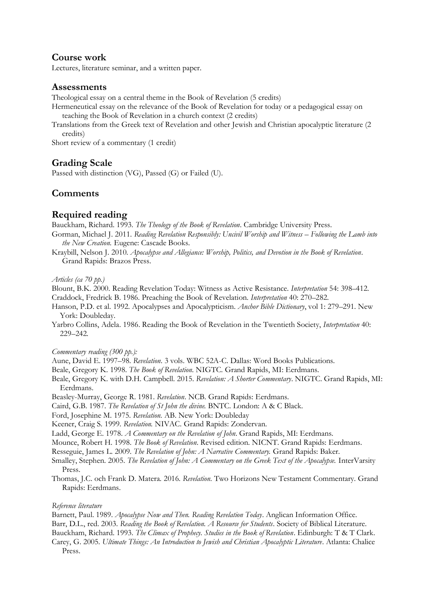## **Course work**

Lectures, literature seminar, and a written paper.

## **Assessments**

Theological essay on a central theme in the Book of Revelation (5 credits)

Hermeneutical essay on the relevance of the Book of Revelation for today or a pedagogical essay on teaching the Book of Revelation in a church context (2 credits)

Translations from the Greek text of Revelation and other Jewish and Christian apocalyptic literature (2 credits)

Short review of a commentary (1 credit)

# **Grading Scale**

Passed with distinction (VG), Passed (G) or Failed (U).

# **Comments**

## **Required reading**

Bauckham, Richard. 1993*. The Theology of the Book of Revelation*. Cambridge University Press.

Gorman, Michael J. 2011. *Reading Revelation Responsibly: Uncivil Worship and Witness – Following the Lamb into the New Creation.* Eugene: Cascade Books.

Kraybill, Nelson J. 2010. *Apocalypse and Allegiance: Worship, Politics, and Devotion in the Book of Revelation*. Grand Rapids: Brazos Press.

#### *Articles (ca 70 pp.)*

- Blount, B.K. 2000. Reading Revelation Today: Witness as Active Resistance. *Interpretation* 54: 398–412. Craddock, Fredrick B. 1986. Preaching the Book of Revelation. *Interpretation* 40: 270–282.
- Hanson, P.D. et al. 1992. Apocalypses and Apocalypticism. *Anchor Bible Dictionary*, vol 1: 279–291. New York: Doubleday.
- Yarbro Collins, Adela. 1986. Reading the Book of Revelation in the Twentieth Society, *Interpretation* 40: 229–242.

#### *Commentary reading (300 pp.):*

Aune, David E. 1997–98. *Revelation*. 3 vols. WBC 52A-C. Dallas: Word Books Publications.

Beale, Gregory K. 1998. *The Book of Revelation*. NIGTC. Grand Rapids, MI: Eerdmans.

Beale, Gregory K. with D.H. Campbell. 2015. *Revelation: A Shorter Commentary*. NIGTC. Grand Rapids, MI: Eerdmans.

Beasley-Murray, George R. 1981. *Revelation*. NCB. Grand Rapids: Eerdmans.

Caird, G.B. 1987. *The Revelation of St John the divine.* BNTC. London: A & C Black.

Ford, Josephine M. 1975. *Revelation.* AB. New York: Doubleday

Keener, Craig S. 1999. *Revelation.* NIVAC. Grand Rapids: Zondervan.

Ladd, George E. 1978. *A Commentary on the Revelation of John*. Grand Rapids, MI: Eerdmans.

Mounce, Robert H. 1998. *The Book of Revelation*. Revised edition. NICNT. Grand Rapids: Eerdmans.

Resseguie, James L. 2009. *The Revelation of John: A Narrative Commentary.* Grand Rapids: Baker.

Smalley, Stephen. 2005. *The Revelation of John: A Commentary on the Greek Text of the Apocalypse*. InterVarsity Press.

Thomas, J.C. och Frank D. Matera. 2016. *Revelation*. Two Horizons New Testament Commentary. Grand Rapids: Eerdmans.

#### *Reference literature*

Barnett, Paul. 1989. *Apocalypse Now and Then. Reading Revelation Today*. Anglican Information Office.

Barr, D.L., red. 2003. *Reading the Book of Revelation. A Resource for Students*. Society of Biblical Literature.

Bauckham, Richard. 1993. *The Climax of Prophecy. Studies in the Book of Revelation*. Edinburgh: T & T Clark.

Carey, G. 2005. *Ultimate Things: An Introduction to Jewish and Christian Apocalyptic Literature*. Atlanta: Chalice Press.